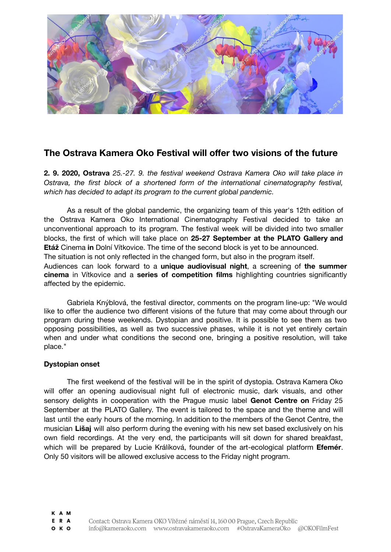

## **The Ostrava Kamera Oko Festival will offer two visions of the future**

**2. 9. 2020, Ostrava** *25.-27. 9. the festival weekend Ostrava Kamera Oko will take place in Ostrava, the first block of a shortened form of the international cinematography festival, which has decided to adapt its program to the current global pandemic.*

As a result of the global pandemic, the organizing team of this year's 12th edition of the Ostrava Kamera Oko International Cinematography Festival decided to take an unconventional approach to its program. The festival week will be divided into two smaller blocks, the first of which will take place on **25-27 September at the PLATO Gallery and Etáž** Cinema **in** Dolní Vítkovice. The time of the second block is yet to be announced. The situation is not only reflected in the changed form, but also in the program itself. Audiences can look forward to a **unique audiovisual night**, a screening of **the summer cinema** in Vítkovice and a **series of competition films** highlighting countries significantly affected by the epidemic.

Gabriela Knýblová, the festival director, comments on the program line-up: "We would like to offer the audience two different visions of the future that may come about through our program during these weekends. Dystopian and positive. It is possible to see them as two opposing possibilities, as well as two successive phases, while it is not yet entirely certain when and under what conditions the second one, bringing a positive resolution, will take place."

## **Dystopian onset**

The first weekend of the festival will be in the spirit of dystopia. Ostrava Kamera Oko will offer an opening audiovisual night full of electronic music, dark visuals, and other sensory delights in cooperation with the Prague music label **Genot Centre on** Friday 25 September at the PLATO Gallery. The event is tailored to the space and the theme and will last until the early hours of the morning. In addition to the members of the Genot Centre, the musician **Lišaj** will also perform during the evening with his new set based exclusively on his own field recordings. At the very end, the participants will sit down for shared breakfast, which will be prepared by Lucie Králíková, founder of the art-ecological platform **Efemér**. Only 50 visitors will be allowed exclusive access to the Friday night program.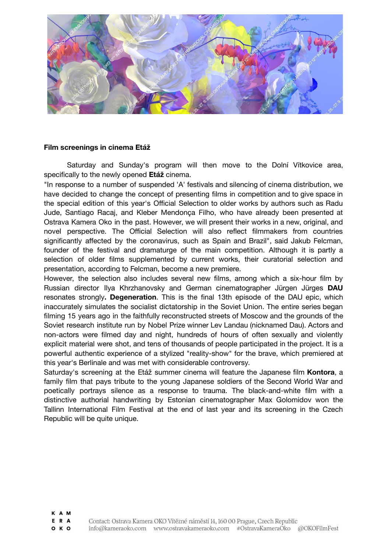

## **Film screenings in cinema Etáž**

Saturday and Sunday's program will then move to the Dolní Vítkovice area, specifically to the newly opened **Etáž** cinema.

"In response to a number of suspended 'A' festivals and silencing of cinema distribution, we have decided to change the concept of presenting films in competition and to give space in the special edition of this year's Official Selection to older works by authors such as Radu Jude, Santiago Racaj, and Kleber Mendonça Filho, who have already been presented at Ostrava Kamera Oko in the past. However, we will present their works in a new, original, and novel perspective. The Official Selection will also reflect filmmakers from countries significantly affected by the coronavirus, such as Spain and Brazil", said Jakub Felcman, founder of the festival and dramaturge of the main competition. Although it is partly a selection of older films supplemented by current works, their curatorial selection and presentation, according to Felcman, become a new premiere.

However, the selection also includes several new films, among which a six-hour film by Russian director Ilya Khrzhanovsky and German cinematographer Jürgen Jürges **DAU** resonates strongly**. Degeneration**. This is the final 13th episode of the DAU epic, which inaccurately simulates the socialist dictatorship in the Soviet Union. The entire series began filming 15 years ago in the faithfully reconstructed streets of Moscow and the grounds of the Soviet research institute run by Nobel Prize winner Lev Landau (nicknamed Dau). Actors and non-actors were filmed day and night, hundreds of hours of often sexually and violently explicit material were shot, and tens of thousands of people participated in the project. It is a powerful authentic experience of a stylized "reality-show" for the brave, which premiered at this year's Berlinale and was met with considerable controversy.

Saturday's screening at the Etáž summer cinema will feature the Japanese film **Kontora**, a family film that pays tribute to the young Japanese soldiers of the Second World War and poetically portrays silence as a response to trauma. The black-and-white film with a distinctive authorial handwriting by Estonian cinematographer Max Golomidov won the Tallinn International Film Festival at the end of last year and its screening in the Czech Republic will be quite unique.